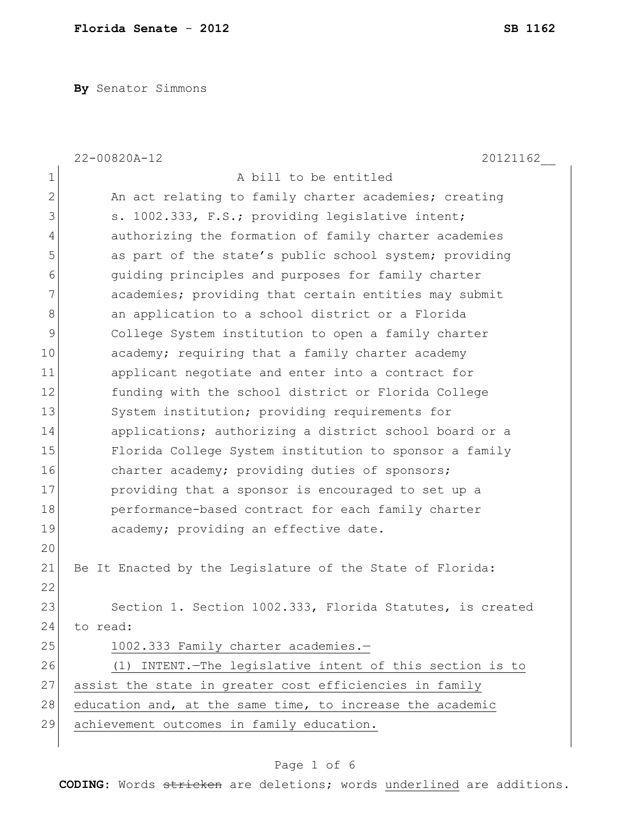**By** Senator Simmons

|                | 22-00820A-12<br>20121162                                  |
|----------------|-----------------------------------------------------------|
| $\mathbf 1$    | A bill to be entitled                                     |
| $\overline{2}$ | An act relating to family charter academies; creating     |
| 3              | s. 1002.333, F.S.; providing legislative intent;          |
| 4              | authorizing the formation of family charter academies     |
| 5              | as part of the state's public school system; providing    |
| 6              | quiding principles and purposes for family charter        |
| 7              | academies; providing that certain entities may submit     |
| 8              | an application to a school district or a Florida          |
| 9              | College System institution to open a family charter       |
| 10             | academy; requiring that a family charter academy          |
| 11             | applicant negotiate and enter into a contract for         |
| 12             | funding with the school district or Florida College       |
| 13             | System institution; providing requirements for            |
| 14             | applications; authorizing a district school board or a    |
| 15             | Florida College System institution to sponsor a family    |
| 16             | charter academy; providing duties of sponsors;            |
| 17             | providing that a sponsor is encouraged to set up a        |
| 18             | performance-based contract for each family charter        |
| 19             | academy; providing an effective date.                     |
| 20             |                                                           |
| 21             | Be It Enacted by the Legislature of the State of Florida: |
| 22             |                                                           |
| 23             | Section 1. Section 1002.333, Florida Statutes, is created |
| 24             | to read:                                                  |
| 25             | 1002.333 Family charter academies.-                       |
| 26             | (1) INTENT.-The legislative intent of this section is to  |
| 27             | assist the state in greater cost efficiencies in family   |
| 28             | education and, at the same time, to increase the academic |
| 29             | achievement outcomes in family education.                 |
|                |                                                           |

# Page 1 of 6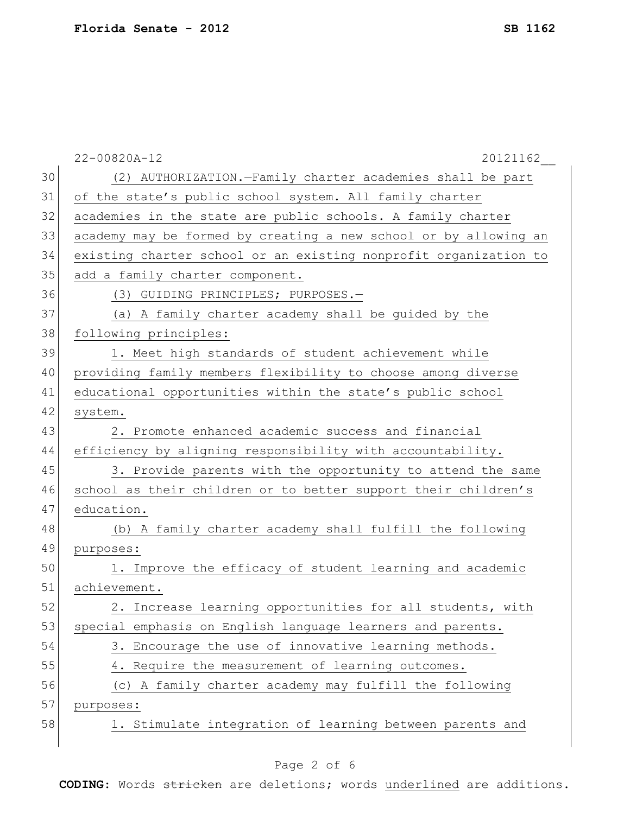|    | 22-00820A-12<br>20121162                                         |  |  |  |  |  |  |  |  |
|----|------------------------------------------------------------------|--|--|--|--|--|--|--|--|
| 30 | (2) AUTHORIZATION.-Family charter academies shall be part        |  |  |  |  |  |  |  |  |
| 31 | of the state's public school system. All family charter          |  |  |  |  |  |  |  |  |
| 32 | academies in the state are public schools. A family charter      |  |  |  |  |  |  |  |  |
| 33 | academy may be formed by creating a new school or by allowing an |  |  |  |  |  |  |  |  |
| 34 | existing charter school or an existing nonprofit organization to |  |  |  |  |  |  |  |  |
| 35 | add a family charter component.                                  |  |  |  |  |  |  |  |  |
| 36 | (3) GUIDING PRINCIPLES; PURPOSES.-                               |  |  |  |  |  |  |  |  |
| 37 | (a) A family charter academy shall be guided by the              |  |  |  |  |  |  |  |  |
| 38 | following principles:                                            |  |  |  |  |  |  |  |  |
| 39 | 1. Meet high standards of student achievement while              |  |  |  |  |  |  |  |  |
| 40 | providing family members flexibility to choose among diverse     |  |  |  |  |  |  |  |  |
| 41 | educational opportunities within the state's public school       |  |  |  |  |  |  |  |  |
| 42 | system.                                                          |  |  |  |  |  |  |  |  |
| 43 | 2. Promote enhanced academic success and financial               |  |  |  |  |  |  |  |  |
| 44 | efficiency by aligning responsibility with accountability.       |  |  |  |  |  |  |  |  |
| 45 | 3. Provide parents with the opportunity to attend the same       |  |  |  |  |  |  |  |  |
| 46 | school as their children or to better support their children's   |  |  |  |  |  |  |  |  |
| 47 | education.                                                       |  |  |  |  |  |  |  |  |
| 48 | (b) A family charter academy shall fulfill the following         |  |  |  |  |  |  |  |  |
| 49 | purposes:                                                        |  |  |  |  |  |  |  |  |
| 50 | 1. Improve the efficacy of student learning and academic         |  |  |  |  |  |  |  |  |
| 51 | achievement.                                                     |  |  |  |  |  |  |  |  |
| 52 | 2. Increase learning opportunities for all students, with        |  |  |  |  |  |  |  |  |
| 53 | special emphasis on English language learners and parents.       |  |  |  |  |  |  |  |  |
| 54 | 3. Encourage the use of innovative learning methods.             |  |  |  |  |  |  |  |  |
| 55 | 4. Require the measurement of learning outcomes.                 |  |  |  |  |  |  |  |  |
| 56 | (c) A family charter academy may fulfill the following           |  |  |  |  |  |  |  |  |
| 57 | purposes:                                                        |  |  |  |  |  |  |  |  |
| 58 | 1. Stimulate integration of learning between parents and         |  |  |  |  |  |  |  |  |
|    |                                                                  |  |  |  |  |  |  |  |  |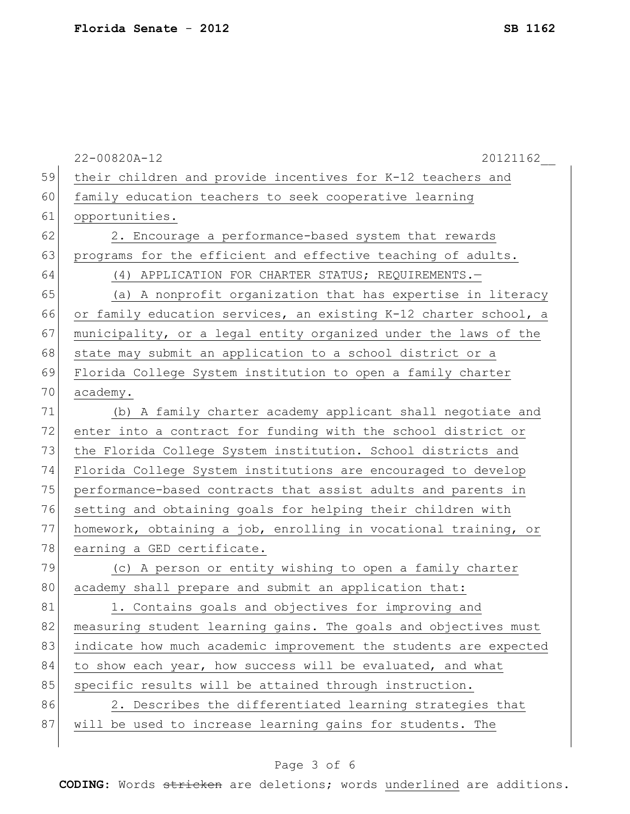|    | 22-00820A-12<br>20121162                                         |
|----|------------------------------------------------------------------|
| 59 | their children and provide incentives for K-12 teachers and      |
| 60 | family education teachers to seek cooperative learning           |
| 61 | opportunities.                                                   |
| 62 | 2. Encourage a performance-based system that rewards             |
| 63 | programs for the efficient and effective teaching of adults.     |
| 64 | (4) APPLICATION FOR CHARTER STATUS; REQUIREMENTS.-               |
| 65 | (a) A nonprofit organization that has expertise in literacy      |
| 66 | or family education services, an existing K-12 charter school, a |
| 67 | municipality, or a legal entity organized under the laws of the  |
| 68 | state may submit an application to a school district or a        |
| 69 | Florida College System institution to open a family charter      |
| 70 | academy.                                                         |
| 71 | (b) A family charter academy applicant shall negotiate and       |
| 72 | enter into a contract for funding with the school district or    |
| 73 | the Florida College System institution. School districts and     |
| 74 | Florida College System institutions are encouraged to develop    |
| 75 | performance-based contracts that assist adults and parents in    |
| 76 | setting and obtaining goals for helping their children with      |
| 77 | homework, obtaining a job, enrolling in vocational training, or  |
| 78 | earning a GED certificate.                                       |
| 79 | (c) A person or entity wishing to open a family charter          |
| 80 | academy shall prepare and submit an application that:            |
| 81 | 1. Contains goals and objectives for improving and               |
| 82 | measuring student learning gains. The goals and objectives must  |
| 83 | indicate how much academic improvement the students are expected |
| 84 | to show each year, how success will be evaluated, and what       |
| 85 | specific results will be attained through instruction.           |
| 86 | 2. Describes the differentiated learning strategies that         |
| 87 | will be used to increase learning gains for students. The        |
|    |                                                                  |

# Page 3 of 6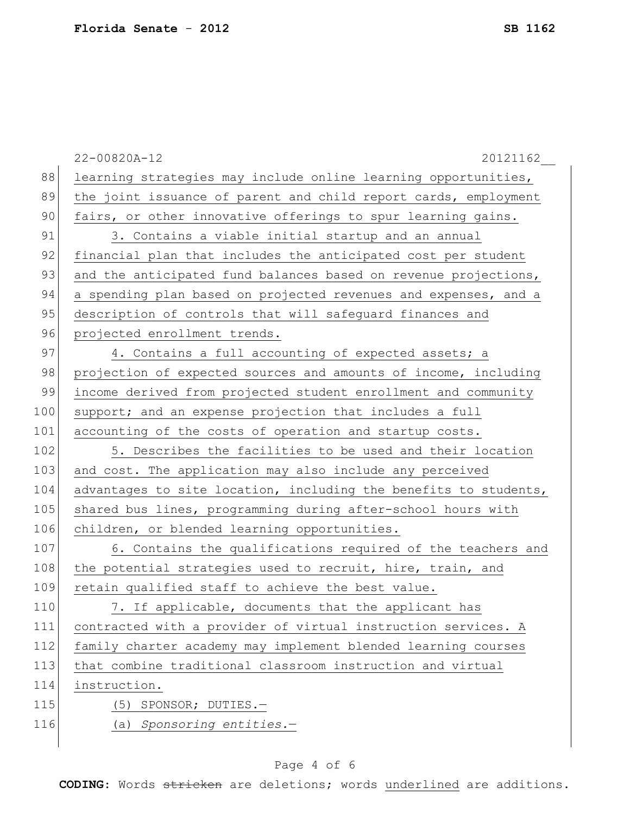|     | 22-00820A-12<br>20121162                                         |
|-----|------------------------------------------------------------------|
| 88  | learning strategies may include online learning opportunities,   |
| 89  | the joint issuance of parent and child report cards, employment  |
| 90  | fairs, or other innovative offerings to spur learning gains.     |
| 91  | 3. Contains a viable initial startup and an annual               |
| 92  | financial plan that includes the anticipated cost per student    |
| 93  | and the anticipated fund balances based on revenue projections,  |
| 94  | a spending plan based on projected revenues and expenses, and a  |
| 95  | description of controls that will safeguard finances and         |
| 96  | projected enrollment trends.                                     |
| 97  | 4. Contains a full accounting of expected assets; a              |
| 98  | projection of expected sources and amounts of income, including  |
| 99  | income derived from projected student enrollment and community   |
| 100 | support; and an expense projection that includes a full          |
| 101 | accounting of the costs of operation and startup costs.          |
| 102 | 5. Describes the facilities to be used and their location        |
| 103 | and cost. The application may also include any perceived         |
| 104 | advantages to site location, including the benefits to students, |
| 105 | shared bus lines, programming during after-school hours with     |
| 106 | children, or blended learning opportunities.                     |
| 107 | 6. Contains the qualifications required of the teachers and      |
| 108 | the potential strategies used to recruit, hire, train, and       |
| 109 | retain qualified staff to achieve the best value.                |
| 110 | 7. If applicable, documents that the applicant has               |
| 111 | contracted with a provider of virtual instruction services. A    |
| 112 | family charter academy may implement blended learning courses    |
| 113 | that combine traditional classroom instruction and virtual       |
| 114 | instruction.                                                     |
| 115 | (5) SPONSOR; DUTIES.-                                            |
| 116 | (a) Sponsoring entities.-                                        |
|     |                                                                  |

# Page 4 of 6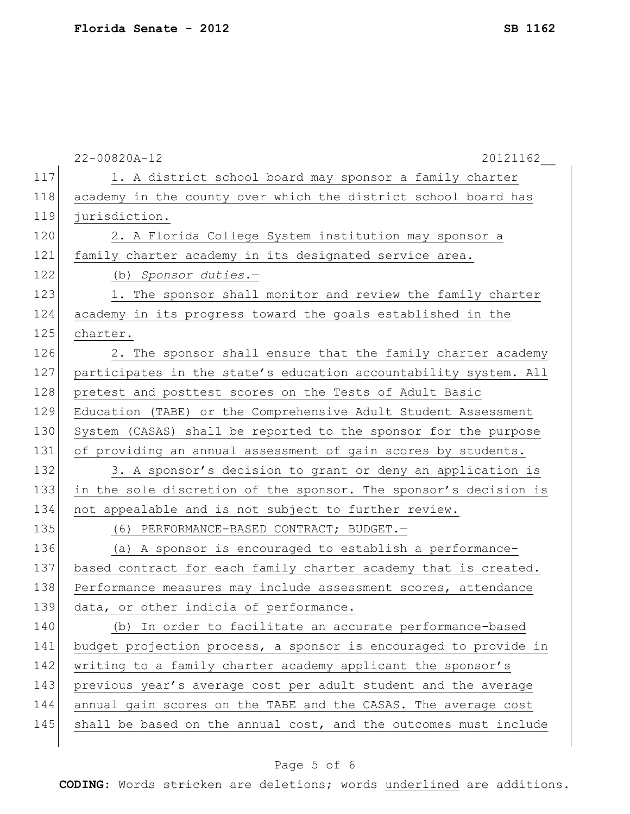|     | 22-00820A-12<br>20121162                                         |
|-----|------------------------------------------------------------------|
| 117 | 1. A district school board may sponsor a family charter          |
| 118 | academy in the county over which the district school board has   |
| 119 | jurisdiction.                                                    |
| 120 | 2. A Florida College System institution may sponsor a            |
| 121 | family charter academy in its designated service area.           |
| 122 | (b) Sponsor duties.-                                             |
| 123 | 1. The sponsor shall monitor and review the family charter       |
| 124 | academy in its progress toward the goals established in the      |
| 125 | charter.                                                         |
| 126 | 2. The sponsor shall ensure that the family charter academy      |
| 127 | participates in the state's education accountability system. All |
| 128 | pretest and posttest scores on the Tests of Adult Basic          |
| 129 | Education (TABE) or the Comprehensive Adult Student Assessment   |
| 130 | System (CASAS) shall be reported to the sponsor for the purpose  |
| 131 | of providing an annual assessment of gain scores by students.    |
| 132 | 3. A sponsor's decision to grant or deny an application is       |
| 133 | in the sole discretion of the sponsor. The sponsor's decision is |
| 134 | not appealable and is not subject to further review.             |
| 135 | (6) PERFORMANCE-BASED CONTRACT; BUDGET.-                         |
| 136 | (a) A sponsor is encouraged to establish a performance-          |
| 137 | based contract for each family charter academy that is created.  |
| 138 | Performance measures may include assessment scores, attendance   |
| 139 | data, or other indicia of performance.                           |
| 140 | (b) In order to facilitate an accurate performance-based         |
| 141 | budget projection process, a sponsor is encouraged to provide in |
| 142 | writing to a family charter academy applicant the sponsor's      |
| 143 | previous year's average cost per adult student and the average   |
| 144 | annual gain scores on the TABE and the CASAS. The average cost   |
| 145 | shall be based on the annual cost, and the outcomes must include |
|     |                                                                  |

# Page 5 of 6